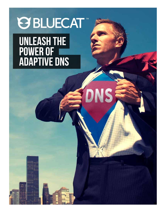# **ØBLUECAT™**

DNS

### Unleash the Power of **ADAPTIVE** DNS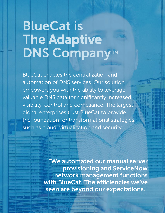## BlueCat is The Adaptive DNS Company™

BlueCat enables the centralization and automation of DNS services. Our solution empowers you with the ability to leverage valuable DNS data for significantly increased visibility, control and compliance. The largest global enterprises trust BlueCat to provide the foundation for transformational strategies such as cloud, virtualization and security.

> "We automated our manual server provisioning and ServiceNow network management functions with BlueCat. The efficiencies we've seen are beyond our expectations."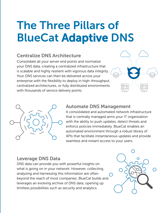### The Three Pillars of BlueCat Adaptive DNS

#### Centralize DNS Architecture

Consolidate all your server end points and normalize your DNS data, creating a centralized infrastructure that is scalable and highly resilient with vigorous data integrity. Your DNS services can then be delivered across your enterprise with the flexibility to deploy in high-throughput, centralized architectures, or fully distributed environments with thousands of service delivery points.



#### Automate DNS Management

A consolidated and automated network infrastructure that is centrally managed arms your IT organization with the ability to push updates, detect threats and enforce policies immediately. BlueCat enables an automated environment through a robust library of APIs that facilitate instantaneous updates and provide seamless and instant access to your users.

#### Leverage DNS Data

DNS data can provide you with powerful insights on what is going on in your network. However, collecting, analyzing and harnessing this information are often beyond the reach of most companies. BlueCat builds and leverages an evolving archive of DNS data, opening up limitless possibilities such as security and analytics.

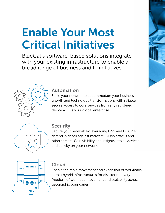### Enable Your Most Critical Initiatives

BlueCat's software-based solutions integrate with your existing infrastructure to enable a broad range of business and IT initiatives.



#### Automation

Scale your network to accommodate your business growth and technology transformations with reliable, secure access to core services from any registered device across your global enterprise.



#### **Security**

Secure your network by leveraging DNS and DHCP to defend in depth against malware, DDoS attacks and other threats. Gain visibility and insights into all devices and activity on your network.



#### Cloud

Enable the rapid movement and expansion of workloads across hybrid infrastructures for disaster recovery, freedom of workload movement and scalability across geographic boundaries.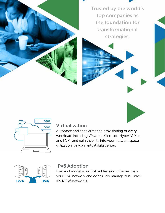

Trusted by the world's top companies as the foundation for transformational strategies.





#### Virtualization

Automate and accelerate the provisioning of every workload, including VMware, Microsoft Hyper-V, Xen and KVM, and gain visibility into your network space utilization for your virtual data center.



#### IPv6 Adoption

Plan and model your IPv6 addressing scheme, map your IPv6 network and cohesively manage dual-stack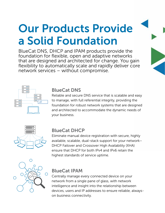### Our Products Provide a Solid Foundation

BlueCat DNS, DHCP and IPAM products provide the foundation for flexible, open and adaptive networks that are designed and architected for change. You gain flexibility to automatically scale and rapidly deliver core network services – without compromise.



#### BlueCat DNS

Reliable and secure DNS service that is scalable and easy to manage, with full referential integrity, providing the foundation for robust network systems that are designed and architected to accommodate the dynamic needs of your business.



#### BlueCat DHCP

Eliminate manual device registration with secure, highly available, scalable, dual-stack support for your network– DHCP Failover and Crossover High Availability (XHA) ensure that DHCP for both IPv4 and IPv6 retain the highest standards of service uptime.



#### BlueCat IPAM

Centrally manage every connected device on your network from a single pane of glass, with network intelligence and insight into the relationship between devices, users and IP addresses to ensure reliable, alwayson business connectivity.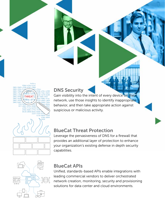#### $f$ e59: $\epsilon$ 93bd:e24e:e1a2 2001:5b03:c550:df0f:f0b0 2001:339e:5 2001: f60a: 7db:afbc:e298 2001:79e 50: f2bc: 9d25 b03:c5  $2001:ce9$  v a6:3a79:b2d8 2001:949 7b89:34d7 2001:9eb  $d:680e:6f$  $60a: df$ 2001:2h51  $d \cdot 98d5 \cdot 6959$ 2001:ba6d 519 81f:e8b1:951e:9640 a766:7c1a:bdf0; d7bb:6b01:17fb:f6f8<br>85c0:e058:8e6e:8e8b: 2157:1319:8 ec3d:884d:7a6d<br>d10a:db64

#### DNS Security

Gain visibility into the intent of every device on their network, use those insights to identify inappropriate behavior, and then take appropriate action against suspicious or malicious activity.

#### BlueCat Threat Protection

Leverage the pervasiveness of DNS for a firewall that provides an additional layer of protection to enhance your organization's existing defense in depth security capabilities.



#### BlueCat APIs

Unified, standards-based APIs enable integrations with leading commercial vendors to deliver orchestrated network creation, monitoring, security and provisioning solutions for data center and cloud environments.